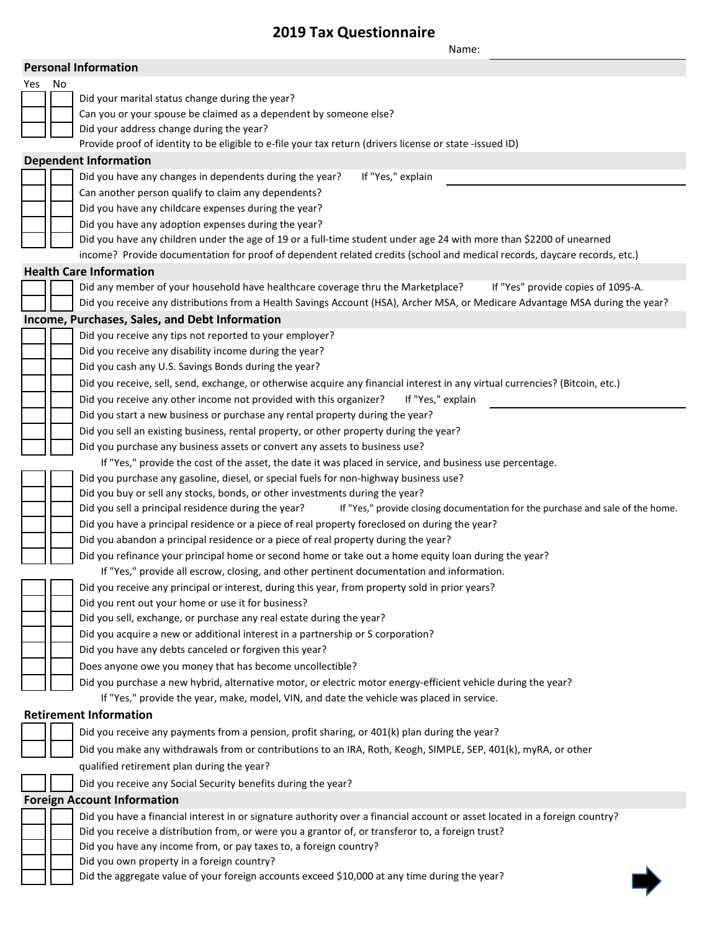## **2019 Tax Questionnaire**

|                                |        | Name:                                                                                                                                                 |  |  |
|--------------------------------|--------|-------------------------------------------------------------------------------------------------------------------------------------------------------|--|--|
|                                |        | <b>Personal Information</b>                                                                                                                           |  |  |
|                                | Yes No |                                                                                                                                                       |  |  |
|                                |        | Did your marital status change during the year?                                                                                                       |  |  |
|                                |        | Can you or your spouse be claimed as a dependent by someone else?                                                                                     |  |  |
|                                |        | Did your address change during the year?                                                                                                              |  |  |
|                                |        | Provide proof of identity to be eligible to e-file your tax return (drivers license or state -issued ID)                                              |  |  |
|                                |        | <b>Dependent Information</b>                                                                                                                          |  |  |
|                                |        | Did you have any changes in dependents during the year?<br>If "Yes," explain                                                                          |  |  |
|                                |        | Can another person qualify to claim any dependents?                                                                                                   |  |  |
|                                |        | Did you have any childcare expenses during the year?                                                                                                  |  |  |
|                                |        | Did you have any adoption expenses during the year?                                                                                                   |  |  |
|                                |        | Did you have any children under the age of 19 or a full-time student under age 24 with more than \$2200 of unearned                                   |  |  |
|                                |        | income? Provide documentation for proof of dependent related credits (school and medical records, daycare records, etc.)                              |  |  |
| <b>Health Care Information</b> |        |                                                                                                                                                       |  |  |
|                                |        | Did any member of your household have healthcare coverage thru the Marketplace?<br>If "Yes" provide copies of 1095-A.                                 |  |  |
|                                |        | Did you receive any distributions from a Health Savings Account (HSA), Archer MSA, or Medicare Advantage MSA during the year?                         |  |  |
|                                |        | Income, Purchases, Sales, and Debt Information                                                                                                        |  |  |
|                                |        | Did you receive any tips not reported to your employer?                                                                                               |  |  |
|                                |        | Did you receive any disability income during the year?                                                                                                |  |  |
|                                |        | Did you cash any U.S. Savings Bonds during the year?                                                                                                  |  |  |
|                                |        | Did you receive, sell, send, exchange, or otherwise acquire any financial interest in any virtual currencies? (Bitcoin, etc.)                         |  |  |
|                                |        | Did you receive any other income not provided with this organizer?<br>If "Yes," explain                                                               |  |  |
|                                |        | Did you start a new business or purchase any rental property during the year?                                                                         |  |  |
|                                |        | Did you sell an existing business, rental property, or other property during the year?                                                                |  |  |
|                                |        | Did you purchase any business assets or convert any assets to business use?                                                                           |  |  |
|                                |        | If "Yes," provide the cost of the asset, the date it was placed in service, and business use percentage.                                              |  |  |
|                                |        | Did you purchase any gasoline, diesel, or special fuels for non-highway business use?                                                                 |  |  |
|                                |        | Did you buy or sell any stocks, bonds, or other investments during the year?                                                                          |  |  |
|                                |        | If "Yes," provide closing documentation for the purchase and sale of the home.<br>Did you sell a principal residence during the year?                 |  |  |
|                                |        | Did you have a principal residence or a piece of real property foreclosed on during the year?                                                         |  |  |
|                                |        | Did you abandon a principal residence or a piece of real property during the year?                                                                    |  |  |
|                                |        | Did you refinance your principal home or second home or take out a home equity loan during the year?                                                  |  |  |
|                                |        | If "Yes," provide all escrow, closing, and other pertinent documentation and information.                                                             |  |  |
|                                |        | Did you receive any principal or interest, during this year, from property sold in prior years?<br>Did you rent out your home or use it for business? |  |  |
|                                |        | Did you sell, exchange, or purchase any real estate during the year?                                                                                  |  |  |
|                                |        | Did you acquire a new or additional interest in a partnership or S corporation?                                                                       |  |  |
|                                |        | Did you have any debts canceled or forgiven this year?                                                                                                |  |  |
|                                |        | Does anyone owe you money that has become uncollectible?                                                                                              |  |  |
|                                |        | Did you purchase a new hybrid, alternative motor, or electric motor energy-efficient vehicle during the year?                                         |  |  |
|                                |        | If "Yes," provide the year, make, model, VIN, and date the vehicle was placed in service.                                                             |  |  |
|                                |        | <b>Retirement Information</b>                                                                                                                         |  |  |
|                                |        |                                                                                                                                                       |  |  |
|                                |        | Did you receive any payments from a pension, profit sharing, or 401(k) plan during the year?                                                          |  |  |
|                                |        | Did you make any withdrawals from or contributions to an IRA, Roth, Keogh, SIMPLE, SEP, 401(k), myRA, or other                                        |  |  |
|                                |        | qualified retirement plan during the year?                                                                                                            |  |  |
|                                |        | Did you receive any Social Security benefits during the year?                                                                                         |  |  |
|                                |        | <b>Foreign Account Information</b>                                                                                                                    |  |  |
|                                |        | Did you have a financial interest in or signature authority over a financial account or asset located in a foreign country?                           |  |  |
|                                |        | Did you receive a distribution from, or were you a grantor of, or transferor to, a foreign trust?                                                     |  |  |
|                                |        | Did you have any income from, or pay taxes to, a foreign country?                                                                                     |  |  |
|                                |        | Did you own property in a foreign country?<br>Did the aggregate value of your foreign accounts exceed \$10,000 at any time during the year?           |  |  |
|                                |        |                                                                                                                                                       |  |  |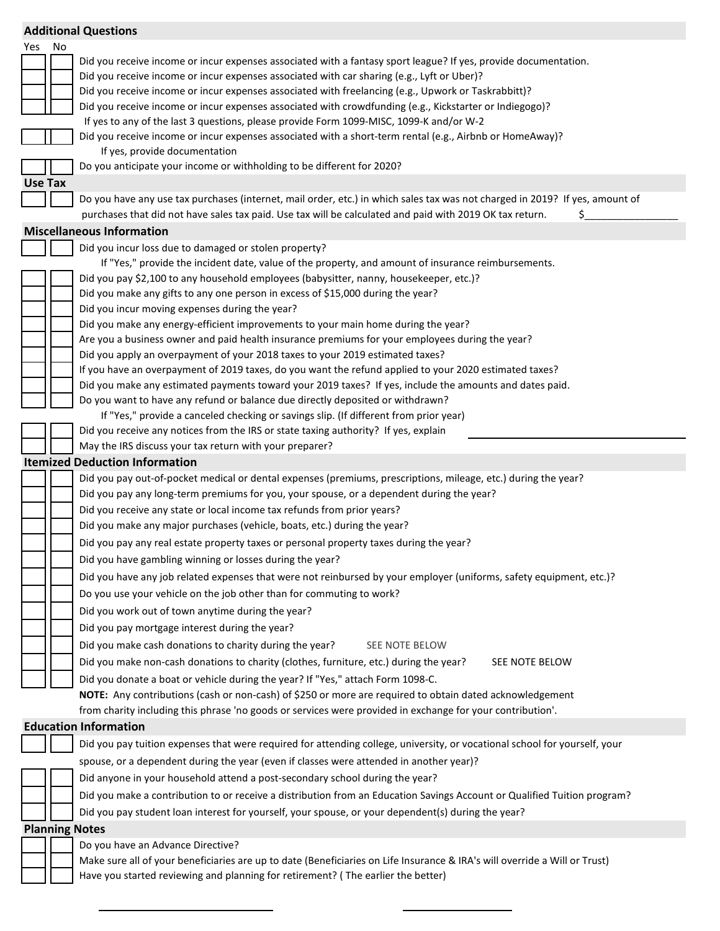|                                       |    | <b>Additional Questions</b>                                                                                                                                                                                                              |  |  |
|---------------------------------------|----|------------------------------------------------------------------------------------------------------------------------------------------------------------------------------------------------------------------------------------------|--|--|
| Yes                                   | No |                                                                                                                                                                                                                                          |  |  |
|                                       |    | Did you receive income or incur expenses associated with a fantasy sport league? If yes, provide documentation.                                                                                                                          |  |  |
|                                       |    | Did you receive income or incur expenses associated with car sharing (e.g., Lyft or Uber)?                                                                                                                                               |  |  |
|                                       |    | Did you receive income or incur expenses associated with freelancing (e.g., Upwork or Taskrabbitt)?                                                                                                                                      |  |  |
|                                       |    | Did you receive income or incur expenses associated with crowdfunding (e.g., Kickstarter or Indiegogo)?                                                                                                                                  |  |  |
|                                       |    | If yes to any of the last 3 questions, please provide Form 1099-MISC, 1099-K and/or W-2                                                                                                                                                  |  |  |
|                                       |    | Did you receive income or incur expenses associated with a short-term rental (e.g., Airbnb or HomeAway)?                                                                                                                                 |  |  |
|                                       |    | If yes, provide documentation<br>Do you anticipate your income or withholding to be different for 2020?                                                                                                                                  |  |  |
|                                       |    |                                                                                                                                                                                                                                          |  |  |
| Use Tax                               |    |                                                                                                                                                                                                                                          |  |  |
|                                       |    | Do you have any use tax purchases (internet, mail order, etc.) in which sales tax was not charged in 2019? If yes, amount of<br>purchases that did not have sales tax paid. Use tax will be calculated and paid with 2019 OK tax return. |  |  |
|                                       |    | S                                                                                                                                                                                                                                        |  |  |
|                                       |    | <b>Miscellaneous Information</b>                                                                                                                                                                                                         |  |  |
|                                       |    | Did you incur loss due to damaged or stolen property?<br>If "Yes," provide the incident date, value of the property, and amount of insurance reimbursements.                                                                             |  |  |
|                                       |    | Did you pay \$2,100 to any household employees (babysitter, nanny, housekeeper, etc.)?                                                                                                                                                   |  |  |
|                                       |    | Did you make any gifts to any one person in excess of \$15,000 during the year?                                                                                                                                                          |  |  |
|                                       |    | Did you incur moving expenses during the year?                                                                                                                                                                                           |  |  |
|                                       |    | Did you make any energy-efficient improvements to your main home during the year?                                                                                                                                                        |  |  |
|                                       |    | Are you a business owner and paid health insurance premiums for your employees during the year?                                                                                                                                          |  |  |
|                                       |    | Did you apply an overpayment of your 2018 taxes to your 2019 estimated taxes?                                                                                                                                                            |  |  |
|                                       |    | If you have an overpayment of 2019 taxes, do you want the refund applied to your 2020 estimated taxes?                                                                                                                                   |  |  |
|                                       |    | Did you make any estimated payments toward your 2019 taxes? If yes, include the amounts and dates paid.                                                                                                                                  |  |  |
|                                       |    | Do you want to have any refund or balance due directly deposited or withdrawn?                                                                                                                                                           |  |  |
|                                       |    | If "Yes," provide a canceled checking or savings slip. (If different from prior year)                                                                                                                                                    |  |  |
|                                       |    | Did you receive any notices from the IRS or state taxing authority? If yes, explain                                                                                                                                                      |  |  |
|                                       |    | May the IRS discuss your tax return with your preparer?                                                                                                                                                                                  |  |  |
| <b>Itemized Deduction Information</b> |    |                                                                                                                                                                                                                                          |  |  |
|                                       |    | Did you pay out-of-pocket medical or dental expenses (premiums, prescriptions, mileage, etc.) during the year?                                                                                                                           |  |  |
|                                       |    | Did you pay any long-term premiums for you, your spouse, or a dependent during the year?                                                                                                                                                 |  |  |
|                                       |    | Did you receive any state or local income tax refunds from prior years?                                                                                                                                                                  |  |  |
|                                       |    | Did you make any major purchases (vehicle, boats, etc.) during the year?                                                                                                                                                                 |  |  |
|                                       |    | Did you pay any real estate property taxes or personal property taxes during the year?                                                                                                                                                   |  |  |
|                                       |    | Did you have gambling winning or losses during the year?                                                                                                                                                                                 |  |  |
|                                       |    | Did you have any job related expenses that were not reinbursed by your employer (uniforms, safety equipment, etc.)?                                                                                                                      |  |  |
|                                       |    | Do you use your vehicle on the job other than for commuting to work?                                                                                                                                                                     |  |  |
|                                       |    | Did you work out of town anytime during the year?                                                                                                                                                                                        |  |  |
|                                       |    | Did you pay mortgage interest during the year?                                                                                                                                                                                           |  |  |
|                                       |    | Did you make cash donations to charity during the year?<br>SEE NOTE BELOW                                                                                                                                                                |  |  |
|                                       |    | Did you make non-cash donations to charity (clothes, furniture, etc.) during the year?<br>SEE NOTE BELOW                                                                                                                                 |  |  |
|                                       |    | Did you donate a boat or vehicle during the year? If "Yes," attach Form 1098-C.                                                                                                                                                          |  |  |
|                                       |    | NOTE: Any contributions (cash or non-cash) of \$250 or more are required to obtain dated acknowledgement                                                                                                                                 |  |  |
|                                       |    | from charity including this phrase 'no goods or services were provided in exchange for your contribution'.                                                                                                                               |  |  |
|                                       |    | <b>Education Information</b>                                                                                                                                                                                                             |  |  |
|                                       |    | Did you pay tuition expenses that were required for attending college, university, or vocational school for yourself, your                                                                                                               |  |  |
|                                       |    | spouse, or a dependent during the year (even if classes were attended in another year)?                                                                                                                                                  |  |  |
|                                       |    | Did anyone in your household attend a post-secondary school during the year?                                                                                                                                                             |  |  |
|                                       |    | Did you make a contribution to or receive a distribution from an Education Savings Account or Qualified Tuition program?                                                                                                                 |  |  |
|                                       |    | Did you pay student loan interest for yourself, your spouse, or your dependent(s) during the year?                                                                                                                                       |  |  |
| <b>Planning Notes</b>                 |    |                                                                                                                                                                                                                                          |  |  |
|                                       |    | Do you have an Advance Directive?                                                                                                                                                                                                        |  |  |
|                                       |    | Make sure all of your beneficiaries are up to date (Beneficiaries on Life Insurance & IRA's will override a Will or Trust)                                                                                                               |  |  |
|                                       |    | Have you started reviewing and planning for retirement? (The earlier the better)                                                                                                                                                         |  |  |
|                                       |    |                                                                                                                                                                                                                                          |  |  |